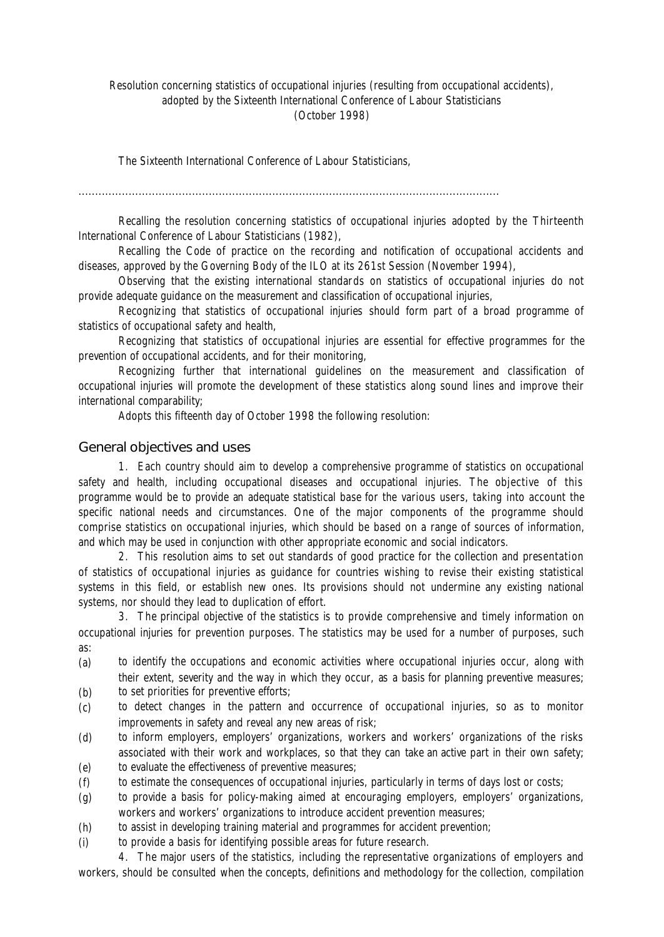# Resolution concerning statistics of occupational injuries (resulting from occupational accidents), adopted by the Sixteenth International Conference of Labour Statisticians (October 1998)

The Sixteenth International Conference of Labour Statisticians,

..............................................................................................................................

Recalling the resolution concerning statistics of occupational injuries adopted by the Thirteenth International Conference of Labour Statisticians (1982),

Recalling the Code of practice on the recording and notification of occupational accidents and diseases, approved by the Governing Body of the ILO at its 261st Session (November 1994),

Observing that the existing international standards on statistics of occupational injuries do not provide adequate guidance on the measurement and classification of occupational injuries,

Recognizing that statistics of occupational injuries should form part of a broad programme of statistics of occupational safety and health,

Recognizing that statistics of occupational injuries are essential for effective programmes for the prevention of occupational accidents, and for their monitoring,

Recognizing further that international guidelines on the measurement and classification of occupational injuries will promote the development of these statistics along sound lines and improve their international comparability;

Adopts this fifteenth day of October 1998 the following resolution:

## General objectives and uses

1. Each country should aim to develop a comprehensive programme of statistics on occupational safety and health, including occupational diseases and occupational injuries. The objective of this programme would be to provide an adequate statistical base for the various users, taking into account the specific national needs and circumstances. One of the major components of the programme should comprise statistics on occupational injuries, which should be based on a range of sources of information, and which may be used in conjunction with other appropriate economic and social indicators.

2. This resolution aims to set out standards of good practice for the collection and presentation of statistics of occupational injuries as guidance for countries wishing to revise their existing statistical systems in this field, or establish new ones. Its provisions should not undermine any existing national systems, nor should they lead to duplication of effort.

3. The principal objective of the statistics is to provide comprehensive and timely information on occupational injuries for prevention purposes. The statistics may be used for a number of purposes, such as:

- (a) to identify the occupations and economic activities where occupational injuries occur, along with their extent, severity and the way in which they occur, as a basis for planning preventive measures;
- (b) to set priorities for preventive efforts;
- (c) to detect changes in the pattern and occurrence of occupational injuries, so as to monitor improvements in safety and reveal any new areas of risk;
- (d) to inform employers, employers' organizations, workers and workers' organizations of the risks associated with their work and workplaces, so that they can take an active part in their own safety;
- (e) to evaluate the effectiveness of preventive measures;
- (f) to estimate the consequences of occupational injuries, particularly in terms of days lost or costs;
- (g) to provide a basis for policy-making aimed at encouraging employers, employers' organizations, workers and workers' organizations to introduce accident prevention measures;
- (h) to assist in developing training material and programmes for accident prevention;
- (i) to provide a basis for identifying possible areas for future research.

4. The major users of the statistics, including the representative organizations of employers and workers, should be consulted when the concepts, definitions and methodology for the collection, compilation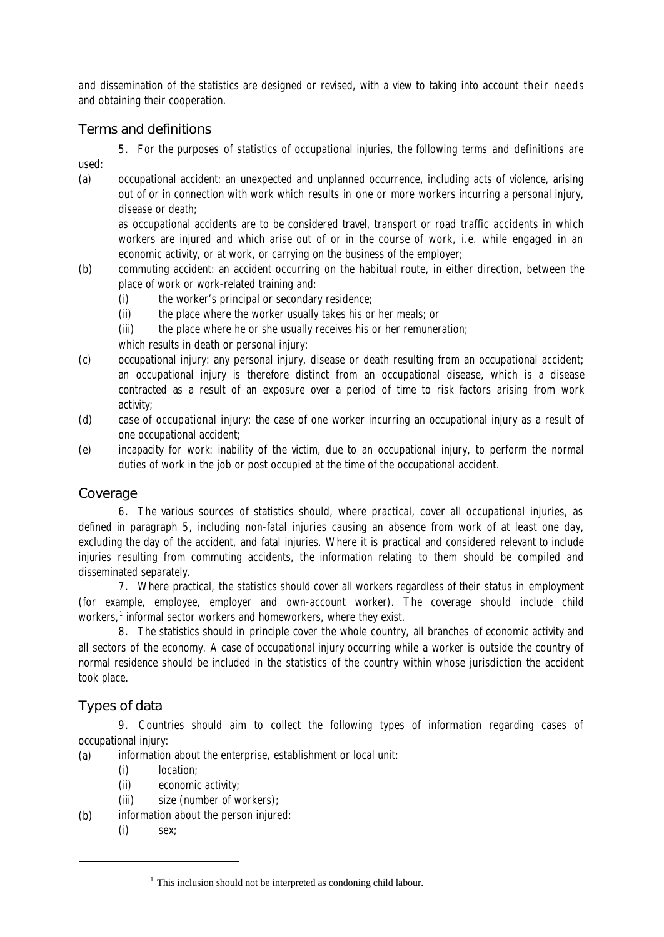and dissemination of the statistics are designed or revised, with a view to taking into account their needs and obtaining their cooperation.

# Terms and definitions

5. For the purposes of statistics of occupational injuries, the following terms and definitions are used:

(a) *occupational accident*: an unexpected and unplanned occurrence, including acts of violence, arising out of or in connection with work which results in one or more workers incurring a personal injury, disease or death;

as occupational accidents are to be considered travel, transport or road traffic accidents in which workers are injured and which arise out of or in the course of work, i.e. while engaged in an economic activity, or at work, or carrying on the business of the employer;

- (b) *commuting accident*: an accident occurring on the habitual route, in either direction, between the place of work or work-related training and:
	- (i) the worker's principal or secondary residence;
	- (ii) the place where the worker usually takes his or her meals; or
	- (iii) the place where he or she usually receives his or her remuneration;

which results in death or personal injury;

- (c) *occupational injury*: any personal injury, disease or death resulting from an occupational accident; an occupational injury is therefore distinct from an occupational disease, which is a disease contracted as a result of an exposure over a period of time to risk factors arising from work activity;
- (d) *case of occupational injury*: the case of one worker incurring an occupational injury as a result of one occupational accident;
- (e) *incapacity for work*: inability of the victim, due to an occupational injury, to perform the normal duties of work in the job or post occupied at the time of the occupational accident.

# Coverage

6. The various sources of statistics should, where practical, cover all occupational injuries, as defined in paragraph 5, including non-fatal injuries causing an absence from work of at least one day, excluding the day of the accident, and fatal injuries. Where it is practical and considered relevant to include injuries resulting from commuting accidents, the information relating to them should be compiled and disseminated separately.

7. Where practical, the statistics should cover all workers regardless of their status in employment (for example, employee, employer and own-account worker). The coverage should include child workers,<sup>1</sup> informal sector workers and homeworkers, where they exist.

8. The statistics should in principle cover the whole country, all branches of economic activity and all sectors of the economy. A case of occupational injury occurring while a worker is outside the country of normal residence should be included in the statistics of the country within whose jurisdiction the accident took place.

# Types of data

9. Countries should aim to collect the following types of information regarding cases of occupational injury:

(a) information about the enterprise, establishment or local unit:

- (i) location;
- (ii) economic activity;
- (iii) size (number of workers);
- (b) information about the person injured:
	- (i) sex;

 $1$  This inclusion should not be interpreted as condoning child labour.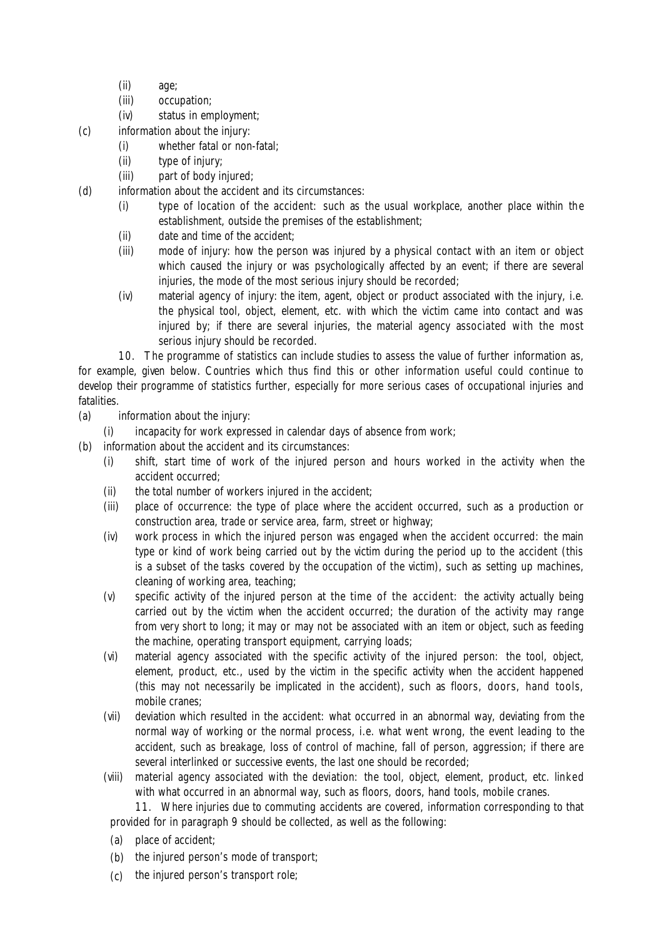- (ii) age;
- (iii) occupation;
- (iv) status in employment;
- (c) information about the injury:
	- (i) whether fatal or non-fatal;
	- (ii) type of injury;
	- (iii) part of body injured;
- (d) information about the accident and its circumstances:
	- (i) type of location of the accident: *such as the usual workplace, another place within the establishment, outside the premises of the establishment*;
	- (ii) date and time of the accident;
	- (iii) mode of injury: *how the person was injured by a physical contact with an item or object which caused the injury or was psychologically affected by an event; if there are several injuries, the mode of the most serious injury should be recorded*;
	- (iv) material agency of injury: *the item, agent, object or product associated with the injury, i.e. the physical tool, object, element, etc. with which the victim came into contact and was injured by; if there are several injuries, the material agency associated with the most serious injury should be recorded.*

10. The programme of statistics can include studies to assess the value of further information as, for example, given below. Countries which thus find this or other information useful could continue to develop their programme of statistics further, especially for more serious cases of occupational injuries and fatalities.

- (a) information about the injury:
	- (i) incapacity for work expressed in calendar days of absence from work;
- (b) information about the accident and its circumstances:
	- (i) shift, start time of work of the injured person and hours worked in the activity when the accident occurred;
	- (ii) the total number of workers injured in the accident;
	- (iii) place of occurrence: *the type of place where the accident occurred, such as a production or construction area, trade or service area, farm, street or highway*;
	- (iv) work process in which the injured person was engaged when the accident occurred: *the main type or kind of work being carried out by the victim during the period up to the accident (this is a subset of the tasks covered by the occupation of the victim), such as setting up machines, cleaning of working area, teaching*;
	- (v) specific activity of the injured person at the time of the accident: *the activity actually being carried out by the victim when the accident occurred; the duration of the activity may range from very short to long; it may or may not be associated with an item or object, such as feeding the machine, operating transport equipment, carrying loads*;
	- (vi) material agency associated with the specific activity of the injured person: *the tool, object, element, product, etc., used by the victim in the specific activity when the accident happened (this may not necessarily be implicated in the accident), such as floors, doors, hand tools, mobile cranes;*
	- (vii) deviation which resulted in the accident: *what occurred in an abnormal way, deviating from the normal way of working or the normal process, i.e. what went wrong, the event leading to the accident, such as breakage, loss of control of machine, fall of person, aggression; if there are several interlinked or successive events, the last one should be recorded;*
	- (viii) material agency associated with the deviation: *the tool, object, element, product, etc. linked with what occurred in an abnormal way, such as floors, doors, hand tools, mobile cranes.*

11. Where injuries due to commuting accidents are covered, information corresponding to that provided for in paragraph 9 should be collected, as well as the following:

- (a) place of accident;
- (b) the injured person's mode of transport;
- (c) the injured person's transport role;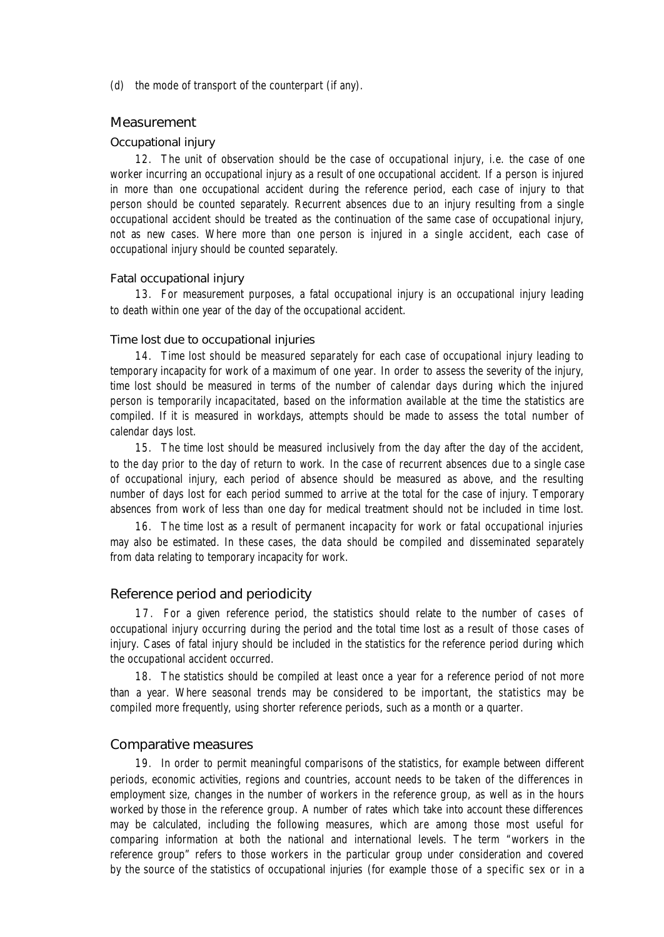(d) the mode of transport of the counterpart (if any).

## Measurement

### *Occupational injury*

12. The unit of observation should be the *case of occupational injury*, i.e. the case of one worker incurring an occupational injury as a result of one occupational accident. If a person is injured in more than one occupational accident during the reference period, each case of injury to that person should be counted separately. Recurrent absences due to an injury resulting from a single occupational accident should be treated as the continuation of the same case of occupational injury, not as new cases. Where more than one person is injured in a single accident, each case of occupational injury should be counted separately.

### *Fatal occupational injury*

13. For measurement purposes, a fatal occupational injury is an occupational injury leading to death within one year of the day of the occupational accident.

### *Time lost due to occupational injuries*

14. Time lost should be measured separately for each case of occupational injury leading to temporary incapacity for work of a maximum of one year. In order to assess the severity of the injury, time lost should be measured in terms of the number of calendar days during which the injured person is temporarily incapacitated, based on the information available at the time the statistics are compiled. If it is measured in workdays, attempts should be made to assess the total number of calendar days lost.

15. The time lost should be measured inclusively from the day after the day of the accident, to the day prior to the day of return to work. In the case of recurrent absences due to a single case of occupational injury, each period of absence should be measured as above, and the resulting number of days lost for each period summed to arrive at the total for the case of injury. Temporary absences from work of less than one day for medical treatment should not be included in time lost.

16. The time lost as a result of permanent incapacity for work or fatal occupational injuries may also be estimated. In these cases, the data should be compiled and disseminated separately from data relating to temporary incapacity for work.

## Reference period and periodicity

17. For a given reference period, the statistics should relate to the number of cases of occupational injury occurring during the period and the total time lost as a result of those cases of injury. Cases of fatal injury should be included in the statistics for the reference period during which the occupational accident occurred.

18. The statistics should be compiled at least once a year for a reference period of not more than a year. Where seasonal trends may be considered to be important, the statistics may be compiled more frequently, using shorter reference periods, such as a month or a quarter.

### Comparative measures

19. In order to permit meaningful comparisons of the statistics, for example between different periods, economic activities, regions and countries, account needs to be taken of the differences in employment size, changes in the number of workers in the reference group, as well as in the hours worked by those in the reference group. A number of rates which take into account these differences may be calculated, including the following measures, which are among those most useful for comparing information at both the national and international levels. The term "workers in the reference group" refers to those workers in the particular group under consideration and covered by the source of the statistics of occupational injuries (for example those of a specific sex or in a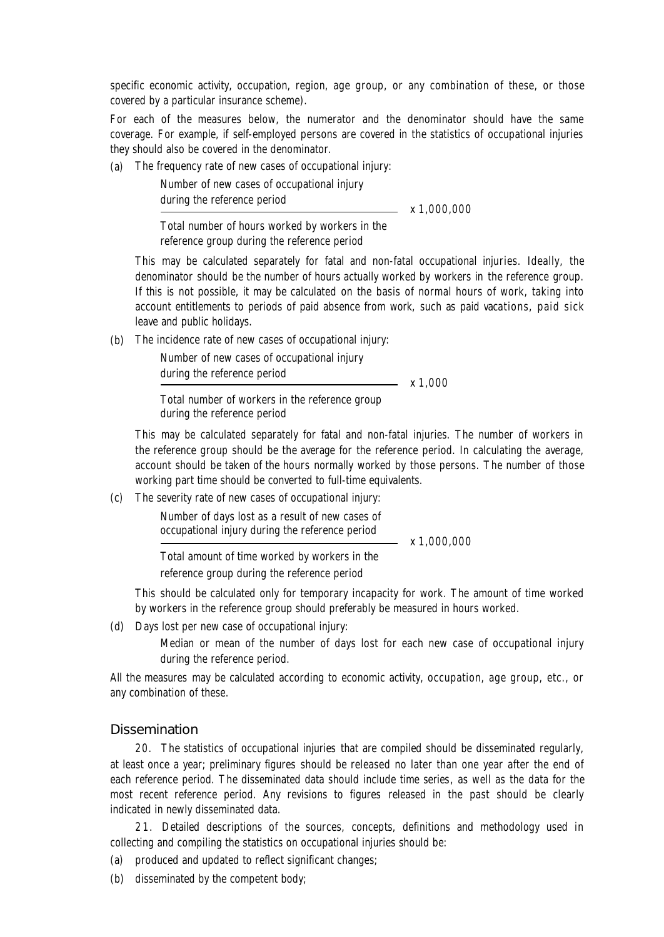specific economic activity, occupation, region, age group, or any combination of these, or those covered by a particular insurance scheme).

For each of the measures below, the numerator and the denominator should have the same coverage. For example, if self-employed persons are covered in the statistics of occupational injuries they should also be covered in the denominator.

(a) The frequency rate of new cases of occupational injury:

Number of new cases of occupational injury during the reference period  $- x 1,000,000$ Total number of hours worked by workers in the

reference group during the reference period

This may be calculated separately for fatal and non-fatal occupational injuries. Ideally, the denominator should be the number of hours actually worked by workers in the reference group. If this is not possible, it may be calculated on the basis of normal hours of work, taking into account entitlements to periods of paid absence from work, such as paid vacations, paid sick leave and public holidays.

(b) The incidence rate of new cases of occupational injury:

Number of new cases of occupational injury

during the reference period

 $\frac{1}{x}$  x 1,000

Total number of workers in the reference group during the reference period

This may be calculated separately for fatal and non-fatal injuries. The number of workers in the reference group should be the average for the reference period. In calculating the average, account should be taken of the hours normally worked by those persons. The number of those working part time should be converted to full-time equivalents.

(c) The severity rate of new cases of occupational injury:

Number of days lost as a result of new cases of occupational injury during the reference period  $- x 1,000,000$ 

Total amount of time worked by workers in the

reference group during the reference period

This should be calculated only for temporary incapacity for work. The amount of time worked by workers in the reference group should preferably be measured in hours worked.

(d) Days lost per new case of occupational injury:

Median or mean of the number of days lost for each new case of occupational injury during the reference period.

All the measures may be calculated according to economic activity, occupation, age group, etc., or any combination of these.

## Dissemination

20. The statistics of occupational injuries that are compiled should be disseminated regularly, at least once a year; preliminary figures should be released no later than one year after the end of each reference period. The disseminated data should include time series, as well as the data for the most recent reference period. Any revisions to figures released in the past should be clearly indicated in newly disseminated data.

21. Detailed descriptions of the sources, concepts, definitions and methodology used in collecting and compiling the statistics on occupational injuries should be:

- (a) produced and updated to reflect significant changes;
- (b) disseminated by the competent body;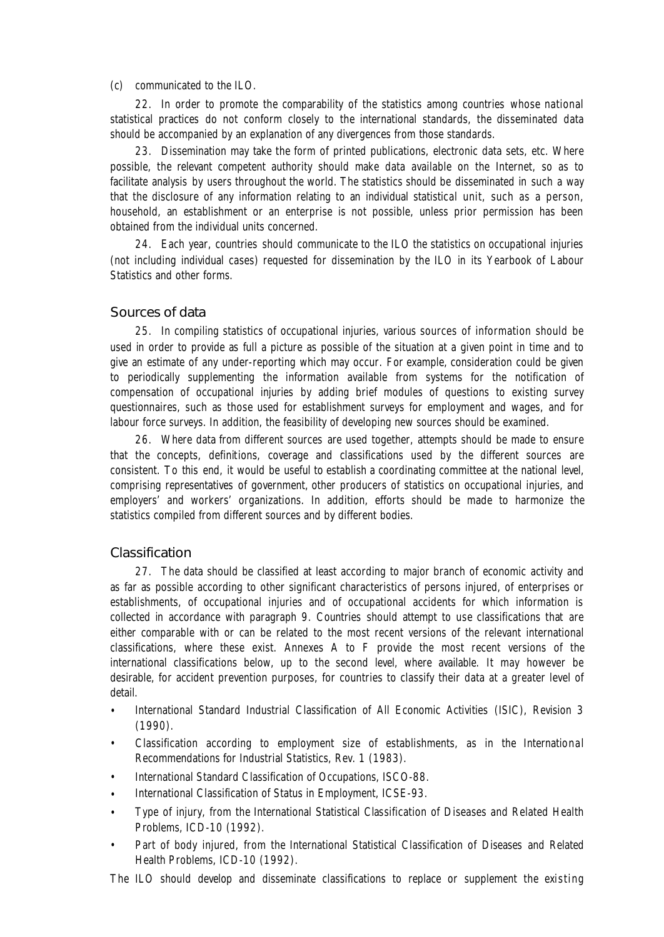### (c) communicated to the ILO.

22. In order to promote the comparability of the statistics among countries whose national statistical practices do not conform closely to the international standards, the disseminated data should be accompanied by an explanation of any divergences from those standards.

23. Dissemination may take the form of printed publications, electronic data sets, etc. Where possible, the relevant competent authority should make data available on the Internet, so as to facilitate analysis by users throughout the world. The statistics should be disseminated in such a way that the disclosure of any information relating to an individual statistical unit, such as a person, household, an establishment or an enterprise is not possible, unless prior permission has been obtained from the individual units concerned.

24. Each year, countries should communicate to the ILO the statistics on occupational injuries (not including individual cases) requested for dissemination by the ILO in its *Yearbook of Labour Statistics* and other forms.

### Sources of data

25. In compiling statistics of occupational injuries, various sources of information should be used in order to provide as full a picture as possible of the situation at a given point in time and to give an estimate of any under-reporting which may occur. For example, consideration could be given to periodically supplementing the information available from systems for the notification of compensation of occupational injuries by adding brief modules of questions to existing survey questionnaires, such as those used for establishment surveys for employment and wages, and for labour force surveys. In addition, the feasibility of developing new sources should be examined.

26. Where data from different sources are used together, attempts should be made to ensure that the concepts, definitions, coverage and classifications used by the different sources are consistent. To this end, it would be useful to establish a coordinating committee at the national level, comprising representatives of government, other producers of statistics on occupational injuries, and employers' and workers' organizations. In addition, efforts should be made to harmonize the statistics compiled from different sources and by different bodies.

## Classification

27. The data should be classified at least according to major branch of economic activity and as far as possible according to other significant characteristics of persons injured, of enterprises or establishments, of occupational injuries and of occupational accidents for which information is collected in accordance with paragraph 9. Countries should attempt to use classifications that are either comparable with or can be related to the most recent versions of the relevant international classifications, where these exist. Annexes A to F provide the most recent versions of the international classifications below, up to the second level, where available. It may however be desirable, for accident prevention purposes, for countries to classify their data at a greater level of detail.

- *• International Standard Industrial Classification of All Economic Activities* (ISIC), Revision 3 (1990).
- Classification according to employment size of establishments, as in the *International Recommendations for Industrial Statistics,* Rev. 1 (1983).
- *International Standard Classification of Occupations, ISCO-88.*
- *International Classification of Status in Employment, ICSE-93.*
- Type of injury, from the *International Statistical Classification of Diseases and Related Health Problems, ICD-10 (*1992).
- Part of body injured, from the *International Statistical Classification of Diseases and Related Health Problems, ICD-10 (*1992).

The ILO should develop and disseminate classifications to replace or supplement the existing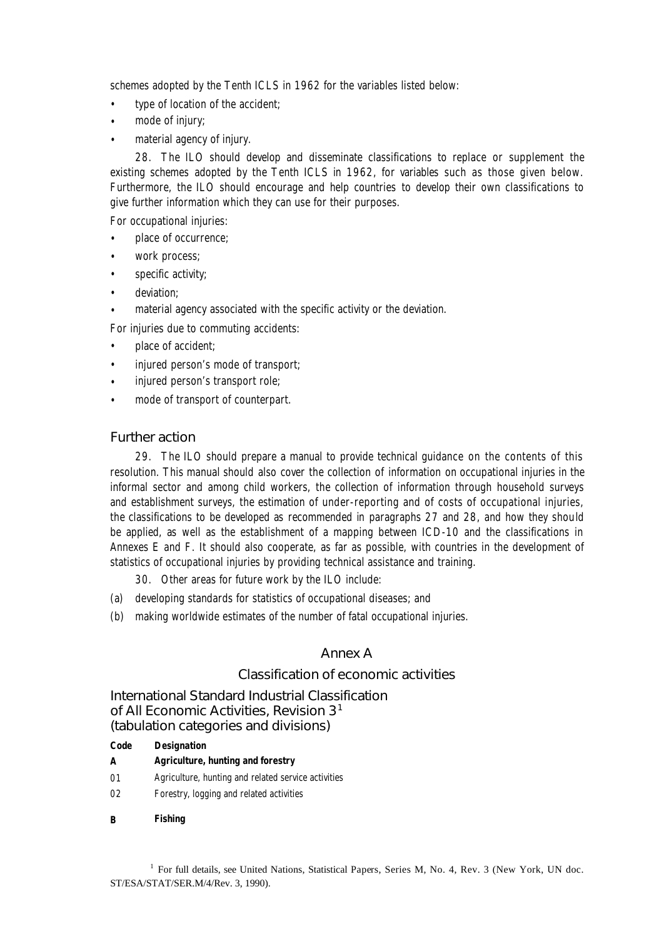schemes adopted by the Tenth ICLS in 1962 for the variables listed below:

- type of location of the accident;
- mode of injury;
- material agency of injury.

28. The ILO should develop and disseminate classifications to replace or supplement the existing schemes adopted by the Tenth ICLS in 1962, for variables such as those given below. Furthermore, the ILO should encourage and help countries to develop their own classifications to give further information which they can use for their purposes.

For occupational injuries:

- place of occurrence;
- work process;
- specific activity;
- deviation:
- material agency associated with the specific activity or the deviation.

For injuries due to commuting accidents:

- place of accident;
- injured person's mode of transport;
- injured person's transport role;
- mode of transport of counterpart.

# Further action

29. The ILO should prepare a manual to provide technical guidance on the contents of this resolution. This manual should also cover the collection of information on occupational injuries in the informal sector and among child workers, the collection of information through household surveys and establishment surveys, the estimation of under-reporting and of costs of occupational injuries, the classifications to be developed as recommended in paragraphs 27 and 28, and how they should be applied, as well as the establishment of a mapping between ICD-10 and the classifications in Annexes E and F. It should also cooperate, as far as possible, with countries in the development of statistics of occupational injuries by providing technical assistance and training.

- 30. Other areas for future work by the ILO include:
- (a) developing standards for statistics of occupational diseases; and
- (b) making worldwide estimates of the number of fatal occupational injuries.

# Annex A

# Classification of economic activities

International Standard Industrial Classification of All Economic Activities, Revision 3<sup>1</sup> (tabulation categories and divisions)

**Code Designation**

- **A Agriculture, hunting and forestry**
- 01 Agriculture, hunting and related service activities
- 02 Forestry, logging and related activities
- **B Fishing**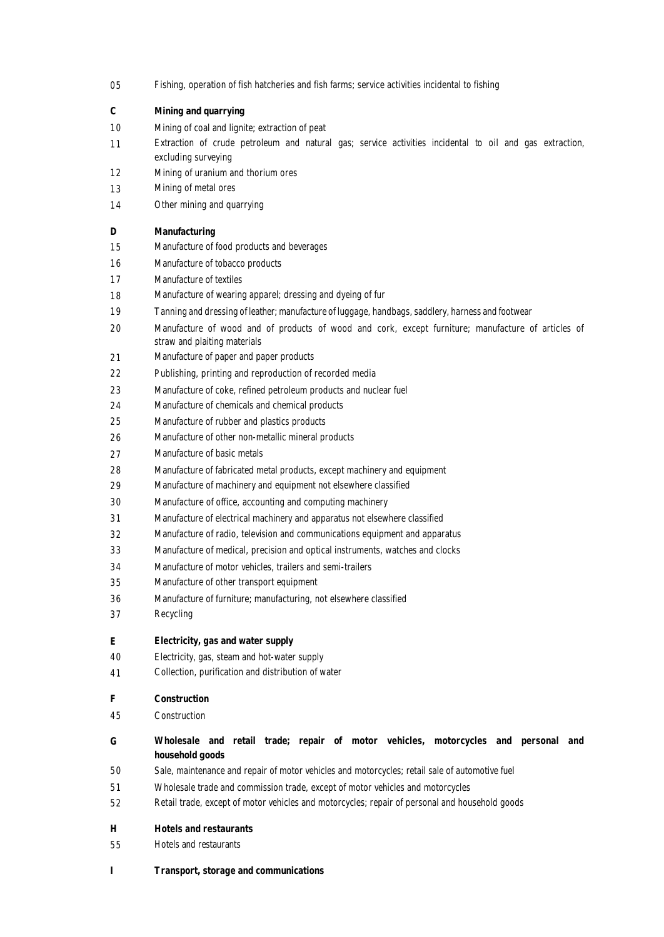| 05       | Fishing, operation of fish hatcheries and fish farms; service activities incidental to fishing                                     |
|----------|------------------------------------------------------------------------------------------------------------------------------------|
| C        | <b>Mining and quarrying</b>                                                                                                        |
| 10       | Mining of coal and lignite; extraction of peat                                                                                     |
| 11       | Extraction of crude petroleum and natural gas; service activities incidental to oil and gas extraction,<br>excluding surveying     |
| 12       | Mining of uranium and thorium ores                                                                                                 |
| 13       | Mining of metal ores                                                                                                               |
| 14       | Other mining and quarrying                                                                                                         |
| D        | <b>Manufacturing</b>                                                                                                               |
| 15       | Manufacture of food products and beverages                                                                                         |
| 16       | Manufacture of tobacco products                                                                                                    |
| 17       | Manufacture of textiles                                                                                                            |
| 18       | Manufacture of wearing apparel; dressing and dyeing of fur                                                                         |
| 19       | Tanning and dressing of leather; manufacture of luggage, handbags, saddlery, harness and footwear                                  |
| 20       | Manufacture of wood and of products of wood and cork, except furniture; manufacture of articles of<br>straw and plaiting materials |
| 21       | Manufacture of paper and paper products                                                                                            |
| 22       | Publishing, printing and reproduction of recorded media                                                                            |
| 23       | Manufacture of coke, refined petroleum products and nuclear fuel                                                                   |
| 24       | Manufacture of chemicals and chemical products                                                                                     |
| 25       | Manufacture of rubber and plastics products                                                                                        |
| 26       | Manufacture of other non-metallic mineral products                                                                                 |
| 27       | Manufacture of basic metals                                                                                                        |
| 28       | Manufacture of fabricated metal products, except machinery and equipment                                                           |
| 29       | Manufacture of machinery and equipment not elsewhere classified                                                                    |
| 30       | Manufacture of office, accounting and computing machinery                                                                          |
| 31       | Manufacture of electrical machinery and apparatus not elsewhere classified                                                         |
| 32       | Manufacture of radio, television and communications equipment and apparatus                                                        |
| 33       | Manufacture of medical, precision and optical instruments, watches and clocks                                                      |
| 34       | Manufacture of motor vehicles, trailers and semi-trailers                                                                          |
| 35       | Manufacture of other transport equipment                                                                                           |
| 36       | Manufacture of furniture; manufacturing, not elsewhere classified                                                                  |
| 37       | Recycling                                                                                                                          |
| Е        | <b>Electricity, gas and water supply</b>                                                                                           |
| 40       | Electricity, gas, steam and hot-water supply                                                                                       |
| 41       | Collection, purification and distribution of water                                                                                 |
| F        | <b>Construction</b>                                                                                                                |
| 45       | Construction                                                                                                                       |
| G        | Wholesale and retail trade; repair of motor vehicles, motorcycles and personal and                                                 |
|          | household goods                                                                                                                    |
| 50       | Sale, maintenance and repair of motor vehicles and motorcycles; retail sale of automotive fuel                                     |
| 51       | Wholesale trade and commission trade, except of motor vehicles and motorcycles                                                     |
| 52       | Retail trade, except of motor vehicles and motorcycles; repair of personal and household goods                                     |
| н        | <b>Hotels and restaurants</b>                                                                                                      |
| 55       | Hotels and restaurants                                                                                                             |
| $\bf{I}$ | <b>Transport, storage and communications</b>                                                                                       |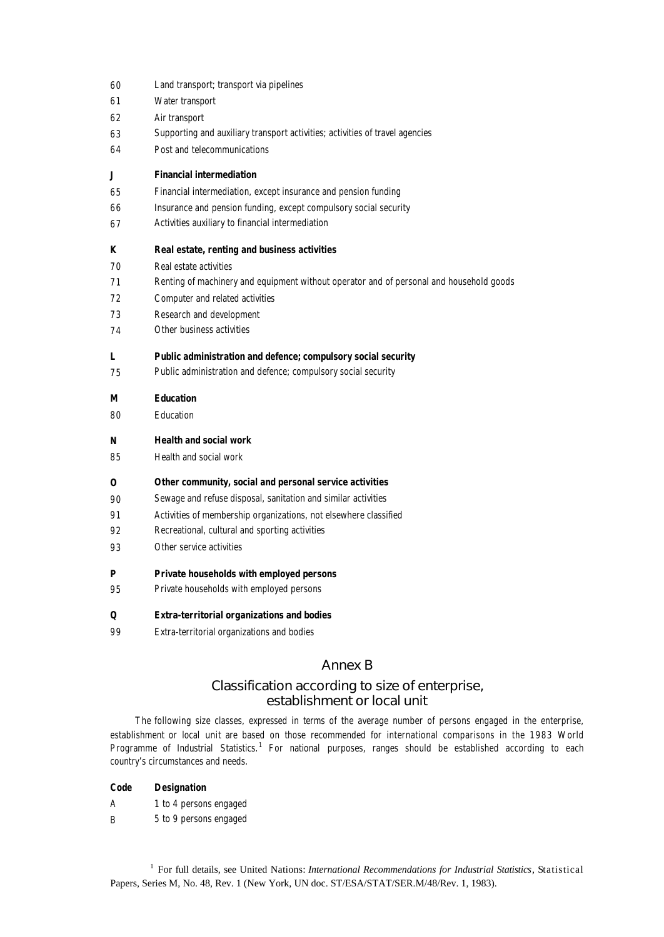- 60 Land transport; transport via pipelines
- 61 Water transport
- 62 Air transport
- 63 Supporting and auxiliary transport activities; activities of travel agencies
- 64 Post and telecommunications

#### **J Financial intermediation**

- 65 Financial intermediation, except insurance and pension funding
- 66 Insurance and pension funding, except compulsory social security
- 67 Activities auxiliary to financial intermediation

### **K Real estate, renting and business activities**

- 70 Real estate activities
- 71 Renting of machinery and equipment without operator and of personal and household goods
- 72 Computer and related activities
- 73 Research and development
- 74 Other business activities

#### **L Public administration and defence; compulsory social security**

75 Public administration and defence; compulsory social security

### **M Education**

80 Education

### **N Health and social work**

85 Health and social work

### **O Other community, social and personal service activities**

- 90 Sewage and refuse disposal, sanitation and similar activities
- 91 Activities of membership organizations, not elsewhere classified
- 92 Recreational, cultural and sporting activities
- 93 Other service activities

#### **P Private households with employed persons**

95 Private households with employed persons

#### **Q Extra-territorial organizations and bodies**

99 Extra-territorial organizations and bodies

# Annex B

# Classification according to size of enterprise, establishment or local unit

The following size classes, expressed in terms of the average number of persons engaged in the enterprise, establishment or local unit are based on those recommended for international comparisons in the 1983 World Programme of Industrial Statistics.<sup>1</sup> For national purposes, ranges should be established according to each country's circumstances and needs.

| <b>Designation</b> |
|--------------------|
|                    |

- A 1 to 4 persons engaged
- B 5 to 9 persons engaged

<sup>1</sup> For full details, see United Nations: *International Recommendations for Industrial Statistics*, Statistical Papers, Series M, No. 48, Rev. 1 (New York, UN doc. ST/ESA/STAT/SER.M/48/Rev. 1, 1983).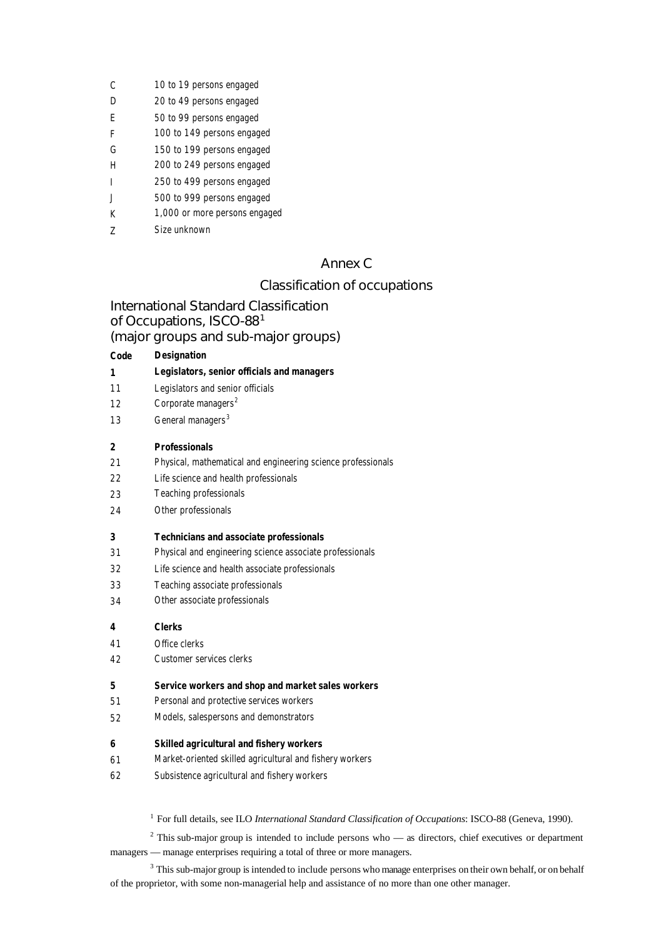- D 20 to 49 persons engaged
- E 50 to 99 persons engaged
- F 100 to 149 persons engaged
- G 150 to 199 persons engaged
- H 200 to 249 persons engaged
- I 250 to 499 persons engaged
- J 500 to 999 persons engaged
- K 1,000 or more persons engaged
- Z Size unknown

# Annex C

# Classification of occupations

International Standard Classification of Occupations, ISCO-88<sup>1</sup> (major groups and sub-major groups)

| Code         | <b>Designation</b>                                           |
|--------------|--------------------------------------------------------------|
| 1            | Legislators, senior officials and managers                   |
| 11           | Legislators and senior officials                             |
| 12           | Corporate managers <sup>2</sup>                              |
| 13           | General managers <sup>3</sup>                                |
| $\mathbf{2}$ | <b>Professionals</b>                                         |
| 2.1          | Physical, mathematical and engineering science professionals |
| 22           | Life science and health professionals                        |
| 23           | Teaching professionals                                       |
| 24           | Other professionals                                          |
| 3            | <b>Technicians and associate professionals</b>               |
| 31           | Physical and engineering science associate professionals     |
| 32           | Life science and health associate professionals              |
| 33           | Teaching associate professionals                             |
| 34           | Other associate professionals                                |
| 4            | <b>Clerks</b>                                                |
| 41           | Office clerks                                                |
| 42           | Customer services clerks                                     |
| 5            | Service workers and shop and market sales workers            |
| 51           | Personal and protective services workers                     |
| 52           | Models, salespersons and demonstrators                       |
| 6            | <b>Skilled agricultural and fishery workers</b>              |
| 61           | Market-oriented skilled agricultural and fishery workers     |
| 62           | Subsistence agricultural and fishery workers                 |
|              |                                                              |
|              |                                                              |

<sup>1</sup> For full details, see ILO *International Standard Classification of Occupations*: ISCO-88 (Geneva, 1990).

 $2$  This sub-major group is intended to include persons who — as directors, chief executives or department managers — manage enterprises requiring a total of three or more managers.

<sup>3</sup> This sub-major group is intended to include persons who manage enterprises on their own behalf, or on behalf of the proprietor, with some non-managerial help and assistance of no more than one other manager.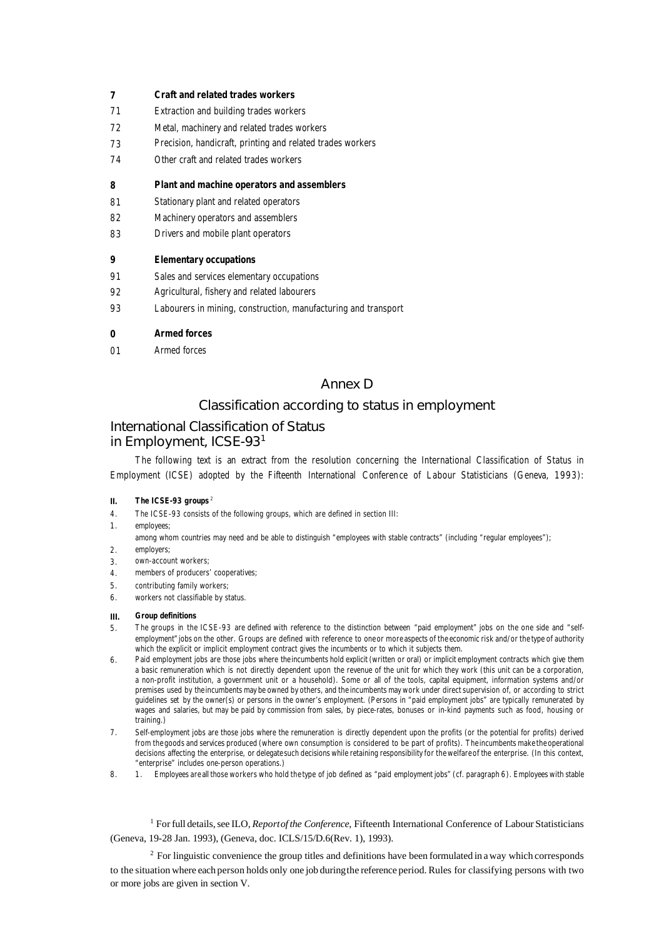### **7 Craft and related trades workers**

- 71 Extraction and building trades workers
- 72 Metal, machinery and related trades workers
- 73 Precision, handicraft, printing and related trades workers
- 74 Other craft and related trades workers

#### **8 Plant and machine operators and assemblers**

- 81 Stationary plant and related operators
- 82 Machinery operators and assemblers
- 83 Drivers and mobile plant operators

#### **9 Elementary occupations**

- 91 Sales and services elementary occupations
- 92 Agricultural, fishery and related labourers
- 93 Labourers in mining, construction, manufacturing and transport

#### **0 Armed forces**

01 Armed forces

# Annex D

## Classification according to status in employment

# International Classification of Status in Employment, ICSE-93<sup>1</sup>

The following text is an extract from the resolution concerning the International Classification of Status in Employment (ICSE) adopted by the Fifteenth International Conference of Labour Statisticians (Geneva, 1993):

#### **II. The ICSE-93 groups** <sup>2</sup>

- 4. The ICSE-93 consists of the following groups, which are defined in section III:
- 1. employees;

among whom countries may need and be able to distinguish "employees with stable contracts" (including "regular employees");

- 2. employers;
- 3. own-account workers;
- 4. members of producers' cooperatives;
- 5. contributing family workers;
- 6. workers not classifiable by status.

#### **III. Group definitions**

- 5. The groups in the ICSE-93 are defined with reference to the distinction between "paid employment" jobs on the one side and "selfemployment"jobs on the other. Groups are defined with reference to oneor more aspects of the economic risk and/or the type of authority which the explicit or implicit employment contract gives the incumbents or to which it subjects them.
- 6. Paid employment jobs are those jobs where theincumbents hold explicit (written or oral) or implicit employment contracts which give them a basic remuneration which is not directly dependent upon the revenue of the unit for which they work (this unit can be a corporation, a non-profit institution, a government unit or a household). Some or all of the tools, capital equipment, information systems and/or premises used by theincumbents may be owned by others, and the incumbents may work under direct supervision of, or according to strict guidelines set by the owner(s) or persons in the owner's employment. (Persons in "paid employment jobs" are typically remunerated by wages and salaries, but may be paid by commission from sales, by piece-rates, bonuses or in-kind payments such as food, housing or training.)
- 7. Self-employment jobs are those jobs where the remuneration is directly dependent upon the profits (or the potential for profits) derived from the goods and services produced (where own consumption is considered to be part of profits). Theincumbents makethe operational decisions affecting the enterprise, or delegatesuch decisions while retaining responsibility for thewelfareof the enterprise. (In this context, "enterprise" includes one-person operations.)
- 8. 1. Employees are all those workers who hold the type of job defined as "paid employment jobs" (cf. paragraph 6). Employees with stable

<sup>1</sup> For full details, see ILO, *Report of the Conference*, Fifteenth International Conference of Labour Statisticians (Geneva, 19-28 Jan. 1993), (Geneva, doc. ICLS/15/D.6(Rev. 1), 1993).

 $2$  For linguistic convenience the group titles and definitions have been formulated in a way which corresponds to the situation where each person holds only one job duringthe reference period. Rules for classifying persons with two or more jobs are given in section V.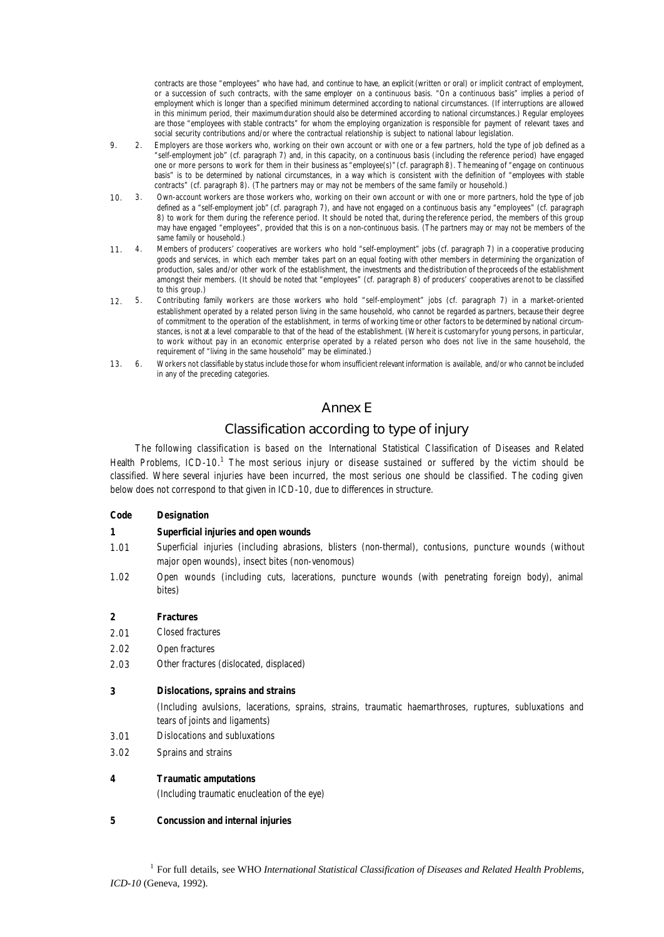contracts are those "employees" who have had, and continue to have, an explicit (written or oral) or implicit contract of employment, or a succession of such contracts, with the same employer on a continuous basis. "On a continuous basis" implies a period of employment which is longer than a specified minimum determined according to national circumstances. (If interruptions are allowed in this minimum period, their maximumduration should also be determined according to national circumstances.) Regular employees are those "employees with stable contracts" for whom the employing organization is responsible for payment of relevant taxes and social security contributions and/or where the contractual relationship is subject to national labour legislation.

- 9. 2. Employers are those workers who, working on their own account or with one or a few partners, hold the type of job defined as a "self-employment job" (cf. paragraph 7) and, in this capacity, on a continuous basis (including the reference period) have engaged one or more persons to work for them in their business as "employee(s)"(cf. paragraph 8). Themeaning of "engage on continuous basis" is to be determined by national circumstances, in a way which is consistent with the definition of "employees with stable contracts" (cf. paragraph 8). (The partners may or may not be members of the same family or household.)
- 10. 3. Own-account workers are those workers who, working on their own account or with one or more partners, hold the type of job defined as a "self-employment job" (cf. paragraph 7), and have not engaged on a continuous basis any "employees" (cf. paragraph 8) to work for them during the reference period. It should be noted that, during the reference period, the members of this group may have engaged "employees", provided that this is on a non-continuous basis. (The partners may or may not be members of the same family or household.)
- 11. 4. Members of producers' cooperatives are workers who hold "self-employment" jobs (cf. paragraph 7) in a cooperative producing goods and services, in which each member takes part on an equal footing with other members in determining the organization of production, sales and/or other work of the establishment, the investments and thedistribution of the proceeds of the establishment amongst their members. (It should be noted that "employees" (cf. paragraph 8) of producers' cooperatives are not to be classified to this group.)
- 12. 5. Contributing family workers are those workers who hold "self-employment" jobs (cf. paragraph 7) in a market-oriented establishment operated by a related person living in the same household, who cannot be regarded as partners, because their degree of commitment to the operation of the establishment, in terms of working time or other factors to be determined by national circumstances, is not at a level comparable to that of the head of the establishment. (Where it is customary for young persons, in particular, to work without pay in an economic enterprise operated by a related person who does not live in the same household, the requirement of "living in the same household" may be eliminated.)
- 13. 6. Workers not classifiable by status include those for whom insufficient relevant information is available, and/or who cannot be included in any of the preceding categories.

# Annex E

# Classification according to type of injury

The following classification is based on the *International Statistical Classification of Diseases and Related Health Problems*, ICD-10.<sup>1</sup> The most serious injury or disease sustained or suffered by the victim should be classified. Where several injuries have been incurred, the most serious one should be classified. The coding given below does not correspond to that given in ICD-10, due to differences in structure.

### **Code Designation**

### **1 Superficial injuries and open wounds**

- 1.01 Superficial injuries (including abrasions, blisters (non-thermal), contusions, puncture wounds (without major open wounds), insect bites (non-venomous)
- 1.02 Open wounds (including cuts, lacerations, puncture wounds (with penetrating foreign body), animal bites)

### **2 Fractures**

- 2.01 Closed fractures
- 2.02 Open fractures
- 2.03 Other fractures (dislocated, displaced)

#### **3 Dislocations, sprains and strains**

(Including avulsions, lacerations, sprains, strains, traumatic haemarthroses, ruptures, subluxations and tears of joints and ligaments)

- 3.01 Dislocations and subluxations
- 3.02 Sprains and strains

#### **4 Traumatic amputations**

(Including traumatic enucleation of the eye)

#### **5 Concussion and internal injuries**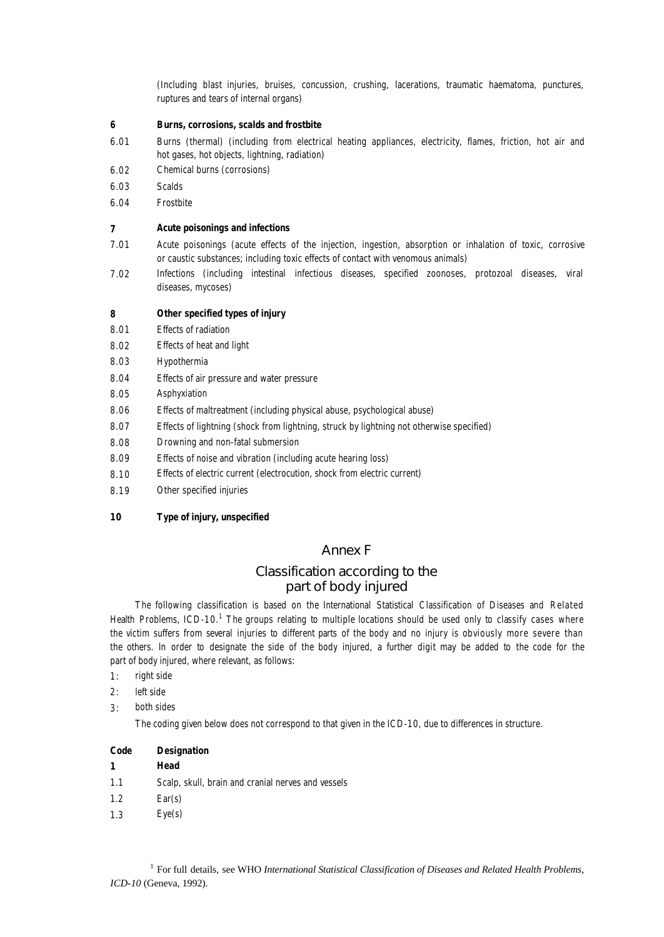(Including blast injuries, bruises, concussion, crushing, lacerations, traumatic haematoma, punctures, ruptures and tears of internal organs)

#### **6 Burns, corrosions, scalds and frostbite**

- 6.01 Burns (thermal) (including from electrical heating appliances, electricity, flames, friction, hot air and hot gases, hot objects, lightning, radiation)
- 6.02 Chemical burns (corrosions)
- 6.03 Scalds
- 6.04 Frostbite

#### **7 Acute poisonings and infections**

- 7.01 Acute poisonings (acute effects of the injection, ingestion, absorption or inhalation of toxic, corrosive or caustic substances; including toxic effects of contact with venomous animals)
- 7.02 Infections (including intestinal infectious diseases, specified zoonoses, protozoal diseases, viral diseases, mycoses)

#### **8 Other specified types of injury**

- 8.01 Effects of radiation
- 8.02 Effects of heat and light
- 8.03 Hypothermia
- 8.04 Effects of air pressure and water pressure
- 8.05 Asphyxiation
- 8.06 Effects of maltreatment (including physical abuse, psychological abuse)
- 8.07 Effects of lightning (shock from lightning, struck by lightning not otherwise specified)
- 8.08 Drowning and non-fatal submersion
- 8.09 Effects of noise and vibration (including acute hearing loss)
- 8.10 Effects of electric current (electrocution, shock from electric current)
- 8.19 Other specified injuries

### **10 Type of injury, unspecified**

## Annex F

# Classification according to the part of body injured

The following classification is based on the *International Statistical Classification of Diseases and Related Health Problems*, ICD-10.<sup>1</sup> The groups relating to multiple locations should be used only to classify cases where the victim suffers from several injuries to different parts of the body and no injury is obviously more severe than the others. In order to designate the side of the body injured, a further digit may be added to the code for the part of body injured, where relevant, as follows:

- 1: right side
- 2: left side
- 3: both sides

The coding given below does not correspond to that given in the ICD-10, due to differences in structure.

| Code | <b>Designation</b> |
|------|--------------------|
|      | Head               |

- 1.1 Scalp, skull, brain and cranial nerves and vessels
- 1.2 Ear(s)
- 1.3 Eye(s)

<sup>1</sup> For full details, see WHO *International Statistical Classification of Diseases and Related Health Problems, ICD-10* (Geneva, 1992).